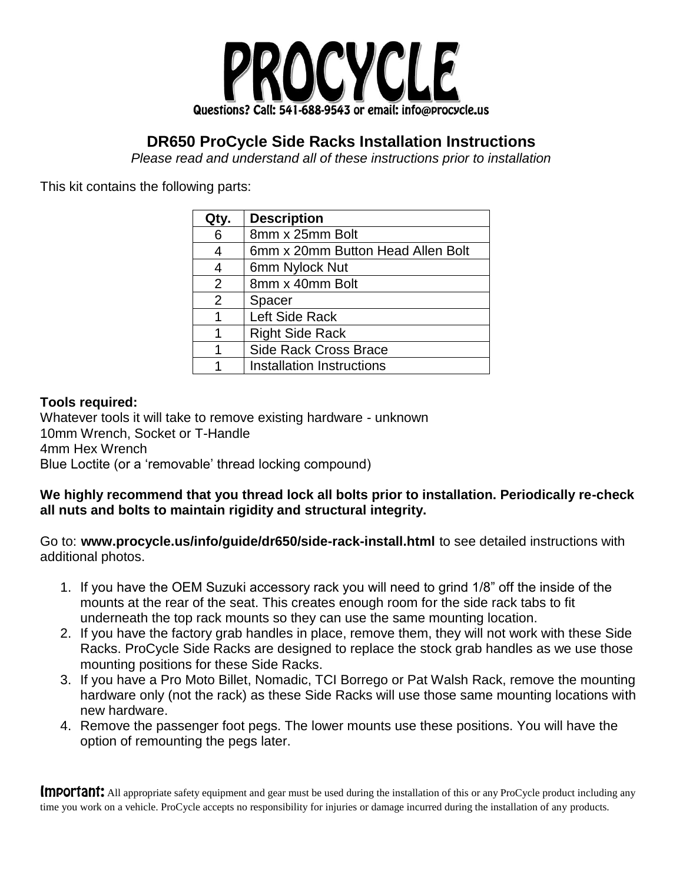

## **DR650 ProCycle Side Racks Installation Instructions**

*Please read and understand all of these instructions prior to installation*

This kit contains the following parts:

| Qty. | <b>Description</b>                |
|------|-----------------------------------|
| 6    | 8mm x 25mm Bolt                   |
| 4    | 6mm x 20mm Button Head Allen Bolt |
| 4    | 6mm Nylock Nut                    |
| 2    | 8mm x 40mm Bolt                   |
| 2    | Spacer                            |
| 1    | Left Side Rack                    |
|      | <b>Right Side Rack</b>            |
|      | Side Rack Cross Brace             |
|      | <b>Installation Instructions</b>  |

## **Tools required:**

Whatever tools it will take to remove existing hardware - unknown 10mm Wrench, Socket or T-Handle 4mm Hex Wrench Blue Loctite (or a 'removable' thread locking compound)

## **We highly recommend that you thread lock all bolts prior to installation. Periodically re-check all nuts and bolts to maintain rigidity and structural integrity.**

Go to: **www.procycle.us/info/guide/dr650/side-rack-install.html** to see detailed instructions with additional photos.

- 1. If you have the OEM Suzuki accessory rack you will need to grind 1/8" off the inside of the mounts at the rear of the seat. This creates enough room for the side rack tabs to fit underneath the top rack mounts so they can use the same mounting location.
- 2. If you have the factory grab handles in place, remove them, they will not work with these Side Racks. ProCycle Side Racks are designed to replace the stock grab handles as we use those mounting positions for these Side Racks.
- 3. If you have a Pro Moto Billet, Nomadic, TCI Borrego or Pat Walsh Rack, remove the mounting hardware only (not the rack) as these Side Racks will use those same mounting locations with new hardware.
- 4. Remove the passenger foot pegs. The lower mounts use these positions. You will have the option of remounting the pegs later.

Important: All appropriate safety equipment and gear must be used during the installation of this or any ProCycle product including any time you work on a vehicle. ProCycle accepts no responsibility for injuries or damage incurred during the installation of any products.